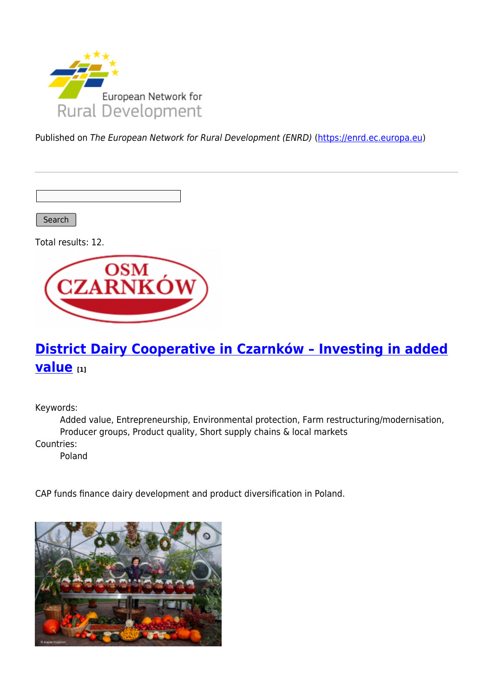

Published on The European Network for Rural Development (ENRD) [\(https://enrd.ec.europa.eu](https://enrd.ec.europa.eu))

Search

Total results: 12.



# **[District Dairy Cooperative in Czarnków – Investing in added](https://enrd.ec.europa.eu/projects-practice/district-dairy-cooperative-czarnkow-investing-added-value_en) [value](https://enrd.ec.europa.eu/projects-practice/district-dairy-cooperative-czarnkow-investing-added-value_en) [1]**

Keywords:

Added value, Entrepreneurship, Environmental protection, Farm restructuring/modernisation, Producer groups, Product quality, Short supply chains & local markets

Countries:

Poland

CAP funds finance dairy development and product diversification in Poland.

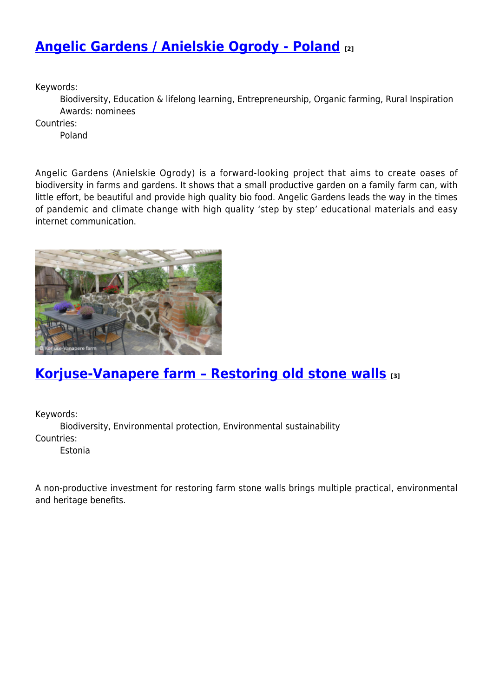### **[Angelic Gardens / Anielskie Ogrody - Poland](https://enrd.ec.europa.eu/projects-practice/angelic-gardens-anielskie-ogrody-poland_en) [2]**

Keywords:

Biodiversity, Education & lifelong learning, Entrepreneurship, Organic farming, Rural Inspiration Awards: nominees

Countries:

Poland

Angelic Gardens (Anielskie Ogrody) is a forward-looking project that aims to create oases of biodiversity in farms and gardens. It shows that a small productive garden on a family farm can, with little effort, be beautiful and provide high quality bio food. Angelic Gardens leads the way in the times of pandemic and climate change with high quality 'step by step' educational materials and easy internet communication.



#### **[Korjuse-Vanapere farm – Restoring old stone walls](https://enrd.ec.europa.eu/projects-practice/korjuse-vanapere-farm-restoring-old-stone-walls_en) [3]**

Keywords: Biodiversity, Environmental protection, Environmental sustainability Countries:

Estonia

A non-productive investment for restoring farm stone walls brings multiple practical, environmental and heritage benefits.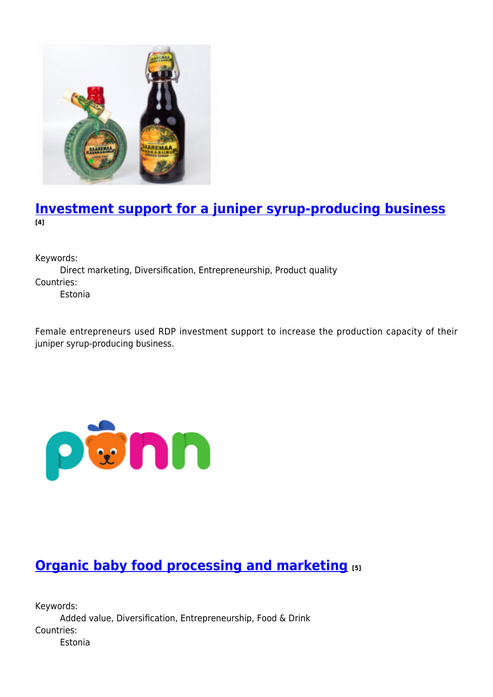

#### **[Investment support for a juniper syrup-producing business](https://enrd.ec.europa.eu/projects-practice/investment-support-juniper-syrup-producing-business_en) [4]**

Keywords:

Direct marketing, Diversification, Entrepreneurship, Product quality Countries:

Estonia

Female entrepreneurs used RDP investment support to increase the production capacity of their juniper syrup-producing business.



# **[Organic baby food processing and marketing](https://enrd.ec.europa.eu/projects-practice/organic-baby-food-processing-and-marketing_en) [5]**

Keywords: Added value, Diversification, Entrepreneurship, Food & Drink Countries: Estonia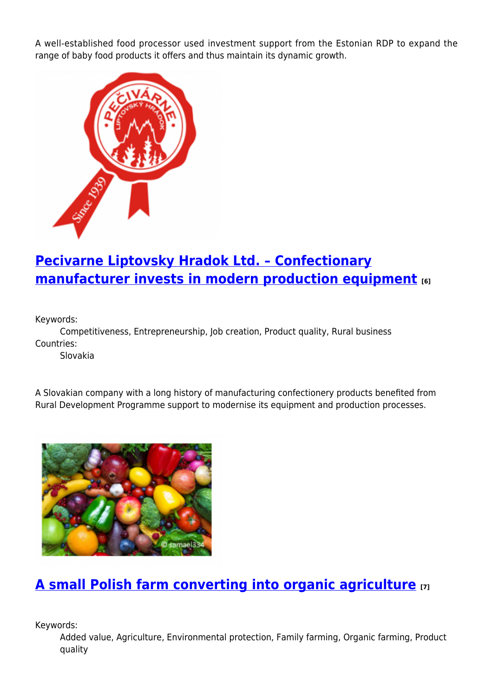A well-established food processor used investment support from the Estonian RDP to expand the range of baby food products it offers and thus maintain its dynamic growth.



## **[Pecivarne Liptovsky Hradok Ltd. – Confectionary](https://enrd.ec.europa.eu/projects-practice/pecivarne-liptovsky-hradok-ltd-confectionary-manufacturer-invests-modern_en) [manufacturer invests in modern production equipment](https://enrd.ec.europa.eu/projects-practice/pecivarne-liptovsky-hradok-ltd-confectionary-manufacturer-invests-modern_en) [6]**

Keywords:

Competitiveness, Entrepreneurship, Job creation, Product quality, Rural business Countries:

Slovakia

A Slovakian company with a long history of manufacturing confectionery products benefited from Rural Development Programme support to modernise its equipment and production processes.



## **[A small Polish farm converting into organic agriculture](https://enrd.ec.europa.eu/projects-practice/small-polish-farm-converting-organic-agriculture_en) [7]**

Keywords:

Added value, Agriculture, Environmental protection, Family farming, Organic farming, Product quality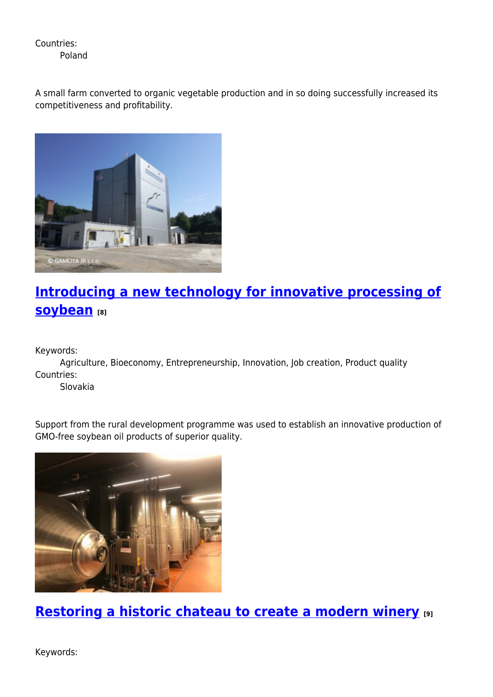Countries: Poland

A small farm converted to organic vegetable production and in so doing successfully increased its competitiveness and profitability.



# **[Introducing a new technology for innovative processing of](https://enrd.ec.europa.eu/projects-practice/introducing-new-technology-innovative-processing-soybean_en) [soybean](https://enrd.ec.europa.eu/projects-practice/introducing-new-technology-innovative-processing-soybean_en)** [8]

Keywords:

Agriculture, Bioeconomy, Entrepreneurship, Innovation, Job creation, Product quality Countries:

Slovakia

Support from the rural development programme was used to establish an innovative production of GMO-free soybean oil products of superior quality.



**[Restoring a historic chateau to create a modern winery](https://enrd.ec.europa.eu/projects-practice/restoring-historic-chateau-create-modern-winery_en) [9]**

Keywords: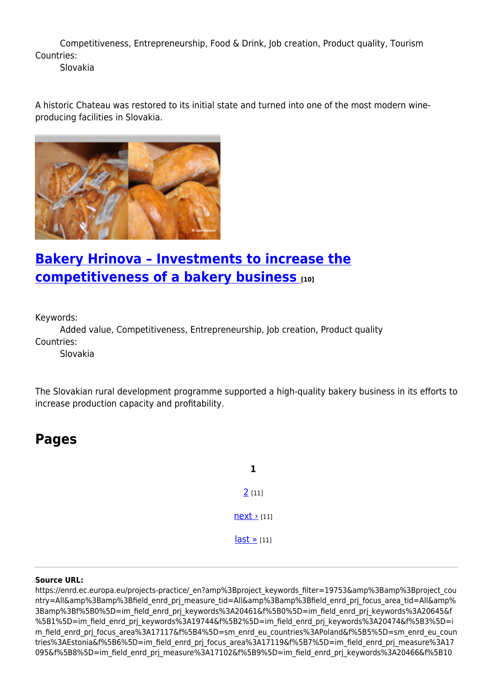Competitiveness, Entrepreneurship, Food & Drink, Job creation, Product quality, Tourism Countries:

Slovakia

A historic Chateau was restored to its initial state and turned into one of the most modern wineproducing facilities in Slovakia.



## **[Bakery Hrinova – Investments to increase the](https://enrd.ec.europa.eu/projects-practice/bakery-hrinova-investments-increase-competitiveness-bakery-business_en) [competitiveness of a bakery business](https://enrd.ec.europa.eu/projects-practice/bakery-hrinova-investments-increase-competitiveness-bakery-business_en) [10]**

Keywords:

Added value, Competitiveness, Entrepreneurship, Job creation, Product quality Countries:

Slovakia

The Slovakian rural development programme supported a high-quality bakery business in its efforts to increase production capacity and profitability.

**Pages**

**1** [2](https://enrd.ec.europa.eu/projects-practice/_en?page=1&%3Bproject_keywords_filter=19753&%3Bamp%3Bproject_country=All&%3Bamp%3Bfield_enrd_prj_measure_tid=All&%3Bamp%3Bfield_enrd_prj_focus_area_tid=All&%3Bamp%3Bf%5B0%5D=im_field_enrd_prj_keywords%3A20461&f%5B0%5D=im_field_enrd_prj_keywords%3A20645&f%5B1%5D=im_field_enrd_prj_keywords%3A19744&f%5B2%5D=im_field_enrd_prj_keywords%3A20474&f%5B3%5D=im_field_enrd_prj_focus_area%3A17117&f%5B4%5D=sm_enrd_eu_countries%3APoland&f%5B5%5D=sm_enrd_eu_countries%3AEstonia&f%5B6%5D=im_field_enrd_prj_focus_area%3A17119&f%5B7%5D=im_field_enrd_prj_measure%3A17095&f%5B8%5D=im_field_enrd_prj_measure%3A17102&f%5B9%5D=im_field_enrd_prj_keywords%3A20466&f%5B10%5D=im_field_enrd_prj_keywords%3A19732&f%5B11%5D=sm_enrd_eu_countries%3ASlovakia) [11]  $next$   $111$ [last »](https://enrd.ec.europa.eu/projects-practice/_en?page=1&%3Bproject_keywords_filter=19753&%3Bamp%3Bproject_country=All&%3Bamp%3Bfield_enrd_prj_measure_tid=All&%3Bamp%3Bfield_enrd_prj_focus_area_tid=All&%3Bamp%3Bf%5B0%5D=im_field_enrd_prj_keywords%3A20461&f%5B0%5D=im_field_enrd_prj_keywords%3A20645&f%5B1%5D=im_field_enrd_prj_keywords%3A19744&f%5B2%5D=im_field_enrd_prj_keywords%3A20474&f%5B3%5D=im_field_enrd_prj_focus_area%3A17117&f%5B4%5D=sm_enrd_eu_countries%3APoland&f%5B5%5D=sm_enrd_eu_countries%3AEstonia&f%5B6%5D=im_field_enrd_prj_focus_area%3A17119&f%5B7%5D=im_field_enrd_prj_measure%3A17095&f%5B8%5D=im_field_enrd_prj_measure%3A17102&f%5B9%5D=im_field_enrd_prj_keywords%3A20466&f%5B10%5D=im_field_enrd_prj_keywords%3A19732&f%5B11%5D=sm_enrd_eu_countries%3ASlovakia) [11]

#### **Source URL:**

https://enrd.ec.europa.eu/projects-practice/\_en?amp%3Bproject\_keywords\_filter=19753&amp%3Bamp%3Bproject\_cou ntry=All&amp%3Bamp%3Bfield\_enrd\_prj\_measure\_tid=All&amp%3Bamp%3Bfield\_enrd\_prj\_focus\_area\_tid=All&amp% 3Bamp%3Bf%5B0%5D=im\_field\_enrd\_prj\_keywords%3A20461&f%5B0%5D=im\_field\_enrd\_prj\_keywords%3A20645&f %5B1%5D=im\_field\_enrd\_prj\_keywords%3A19744&f%5B2%5D=im\_field\_enrd\_prj\_keywords%3A20474&f%5B3%5D=i m\_field\_enrd\_prj\_focus\_area%3A17117&f%5B4%5D=sm\_enrd\_eu\_countries%3APoland&f%5B5%5D=sm\_enrd\_eu\_coun tries%3AEstonia&f%5B6%5D=im\_field\_enrd\_prj\_focus\_area%3A17119&f%5B7%5D=im\_field\_enrd\_prj\_measure%3A17 095&f%5B8%5D=im\_field\_enrd\_prj\_measure%3A17102&f%5B9%5D=im\_field\_enrd\_prj\_keywords%3A20466&f%5B10